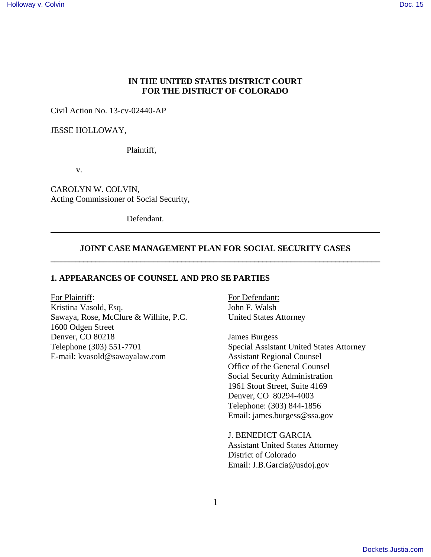#### **IN THE UNITED STATES DISTRICT COURT FOR THE DISTRICT OF COLORADO**

Civil Action No. 13-cv-02440-AP

JESSE HOLLOWAY,

Plaintiff,

v.

CAROLYN W. COLVIN, Acting Commissioner of Social Security,

Defendant.

#### **JOINT CASE MANAGEMENT PLAN FOR SOCIAL SECURITY CASES \_\_\_\_\_\_\_\_\_\_\_\_\_\_\_\_\_\_\_\_\_\_\_\_\_\_\_\_\_\_\_\_\_\_\_\_\_\_\_\_\_\_\_\_\_\_\_\_\_\_\_\_\_\_\_\_\_\_\_\_\_\_\_\_\_\_\_\_\_\_\_\_\_\_\_\_\_\_\_\_\_**

\_\_\_\_\_\_\_\_\_\_\_\_\_\_\_\_\_\_\_\_\_\_\_\_\_\_\_\_\_\_\_\_\_\_\_\_\_\_\_\_\_\_\_\_\_\_\_\_\_\_\_\_\_\_\_\_\_\_\_\_\_\_\_\_\_\_\_\_\_\_\_\_\_\_\_\_\_\_\_

#### **1. APPEARANCES OF COUNSEL AND PRO SE PARTIES**

For Plaintiff: For Defendant: Kristina Vasold, Esq. John F. Walsh Sawaya, Rose, McClure & Wilhite, P.C. United States Attorney 1600 Odgen Street Denver, CO 80218 James Burgess Telephone (303) 551-7701 Special Assistant United States Attorney E-mail: kvasold@sawayalaw.com Assistant Regional Counsel

Office of the General Counsel Social Security Administration 1961 Stout Street, Suite 4169 Denver, CO 80294-4003 Telephone: (303) 844-1856 Email: james.burgess@ssa.gov

 J. BENEDICT GARCIA Assistant United States Attorney District of Colorado Email: J.B.Garcia@usdoj.gov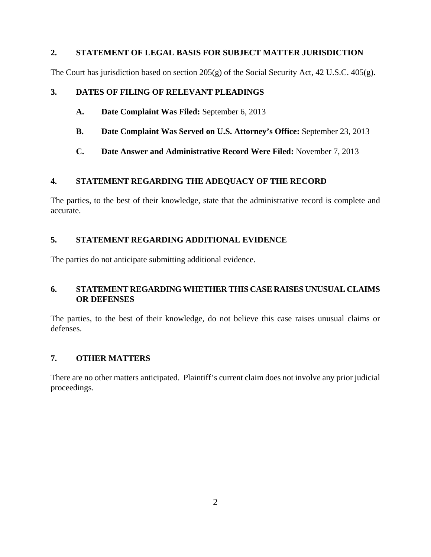### **2. STATEMENT OF LEGAL BASIS FOR SUBJECT MATTER JURISDICTION**

The Court has jurisdiction based on section 205(g) of the Social Security Act, 42 U.S.C. 405(g).

## **3. DATES OF FILING OF RELEVANT PLEADINGS**

- **A. Date Complaint Was Filed:** September 6, 2013
- **B. Date Complaint Was Served on U.S. Attorney's Office:** September 23, 2013
- **C. Date Answer and Administrative Record Were Filed:** November 7, 2013

### **4. STATEMENT REGARDING THE ADEQUACY OF THE RECORD**

The parties, to the best of their knowledge, state that the administrative record is complete and accurate.

### **5. STATEMENT REGARDING ADDITIONAL EVIDENCE**

The parties do not anticipate submitting additional evidence.

### **6. STATEMENT REGARDING WHETHER THIS CASE RAISES UNUSUAL CLAIMS OR DEFENSES**

The parties, to the best of their knowledge, do not believe this case raises unusual claims or defenses.

## **7. OTHER MATTERS**

There are no other matters anticipated. Plaintiff's current claim does not involve any prior judicial proceedings.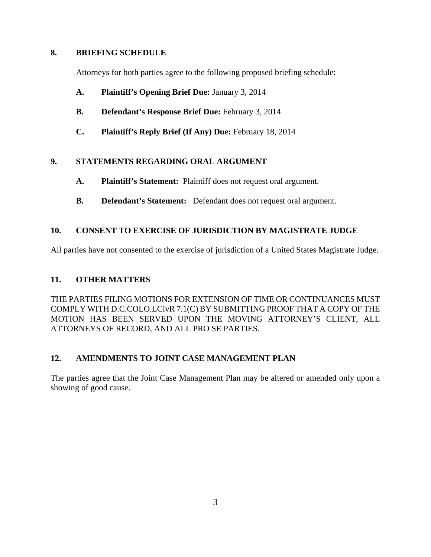### **8. BRIEFING SCHEDULE**

Attorneys for both parties agree to the following proposed briefing schedule:

- **A. Plaintiff's Opening Brief Due:** January 3, 2014
- **B. Defendant's Response Brief Due:** February 3, 2014
- **C. Plaintiff's Reply Brief (If Any) Due:** February 18, 2014

# **9. STATEMENTS REGARDING ORAL ARGUMENT**

- **A. Plaintiff's Statement:** Plaintiff does not request oral argument.
- **B. Defendant's Statement:** Defendant does not request oral argument.

# **10. CONSENT TO EXERCISE OF JURISDICTION BY MAGISTRATE JUDGE**

All parties have not consented to the exercise of jurisdiction of a United States Magistrate Judge.

## **11. OTHER MATTERS**

THE PARTIES FILING MOTIONS FOR EXTENSION OF TIME OR CONTINUANCES MUST COMPLY WITH D.C.COLO.LCivR 7.1(C) BY SUBMITTING PROOF THAT A COPY OF THE MOTION HAS BEEN SERVED UPON THE MOVING ATTORNEY'S CLIENT, ALL ATTORNEYS OF RECORD, AND ALL PRO SE PARTIES.

## **12. AMENDMENTS TO JOINT CASE MANAGEMENT PLAN**

The parties agree that the Joint Case Management Plan may be altered or amended only upon a showing of good cause.